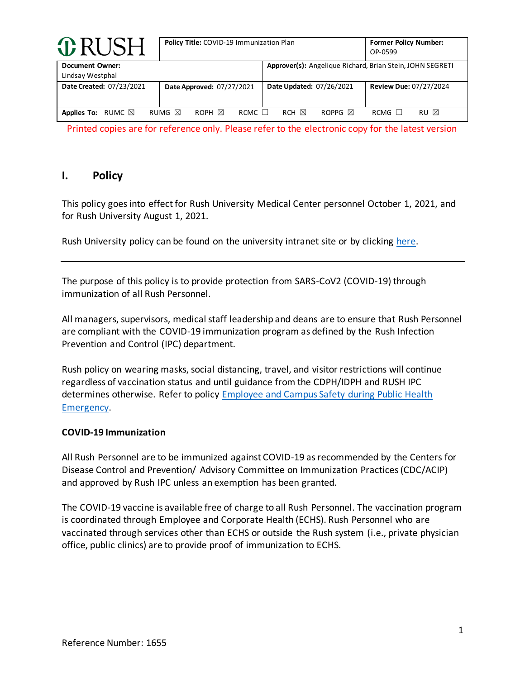| <b>O</b> RUSH                              | Policy Title: COVID-19 Immunization Plan            |                                                           | <b>Former Policy Number:</b><br>OP-0599 |
|--------------------------------------------|-----------------------------------------------------|-----------------------------------------------------------|-----------------------------------------|
| <b>Document Owner:</b><br>Lindsay Westphal |                                                     | Approver(s): Angelique Richard, Brian Stein, JOHN SEGRETI |                                         |
| Date Created: 07/23/2021                   | Date Approved: 07/27/2021                           | Date Updated: 07/26/2021                                  | <b>Review Due: 07/27/2024</b>           |
| <b>Applies To:</b><br>RUMC $\boxtimes$     | ROPH $\boxtimes$<br>RUMG $\boxtimes$<br>RCMC $\Box$ | $RCH \nbox{\n\triangleright$<br>ROPPG $\boxtimes$         | RU ⊠<br>RCMG                            |

Printed copies are for reference only. Please refer to the electronic copy for the latest version

## **I. Policy**

This policy goes into effect for Rush University Medical Center personnel October 1, 2021, and for Rush University August 1, 2021.

Rush University policy can be found on the university intranet site or by clicking here.

The purpose of this policy is to provide protection from SARS-CoV2 (COVID-19) through immunization of all Rush Personnel.

All managers, supervisors, medical staff leadership and deans are to ensure that Rush Personnel are compliant with the COVID-19 immunization program as defined by the Rush Infection Prevention and Control (IPC) department.

Rush policy on wearing masks, social distancing, travel, and visitor restrictions will continue regardless of vaccination status and until guidance from the CDPH/IDPH and RUSH IPC determines otherwise. Refer to policy Employee and Campus Safety during Public Health Emergency.

#### **COVID-19 Immunization**

All Rush Personnel are to be immunized against COVID-19 as recommended by the Centers for Disease Control and Prevention/ Advisory Committee on Immunization Practices (CDC/ACIP) and approved by Rush IPC unless an exemption has been granted.

The COVID-19 vaccine is available free of charge to all Rush Personnel. The vaccination program is coordinated through Employee and Corporate Health (ECHS). Rush Personnel who are vaccinated through services other than ECHS or outside the Rush system (i.e., private physician office, public clinics) are to provide proof of immunization to ECHS.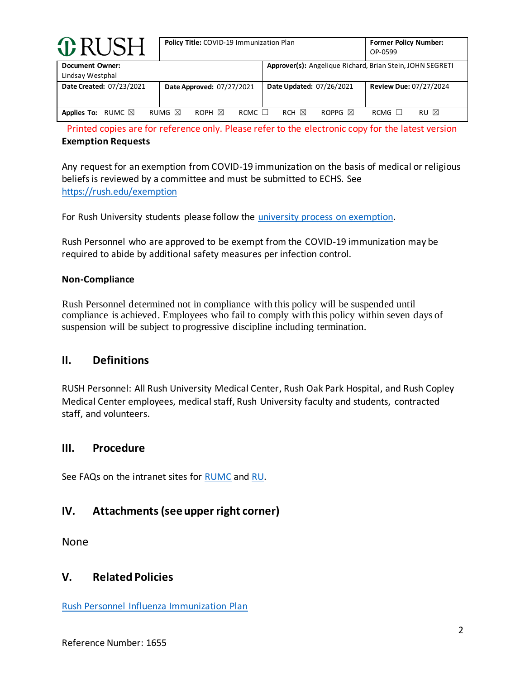| <b>O</b> RUSH                              | Policy Title: COVID-19 Immunization Plan    |                                                           | <b>Former Policy Number:</b><br>OP-0599 |
|--------------------------------------------|---------------------------------------------|-----------------------------------------------------------|-----------------------------------------|
| <b>Document Owner:</b><br>Lindsay Westphal |                                             | Approver(s): Angelique Richard, Brian Stein, JOHN SEGRETI |                                         |
| Date Created: 07/23/2021                   | Date Approved: 07/27/2021                   | Date Updated: 07/26/2021                                  | <b>Review Due: 07/27/2024</b>           |
| <b>Applies To:</b><br>RUMC $\boxtimes$     | RUMG $\boxtimes$<br>ROPH ⊠<br>$RCMC$ $\Box$ | $RCH \times$<br>ROPPG $\boxtimes$                         | RU ⊠<br>$RCMG$ $\Box$                   |

Printed copies are for reference only. Please refer to the electronic copy for the latest version **Exemption Requests**

Any request for an exemption from COVID-19 immunization on the basis of medical or religious beliefs is reviewed by a committee and must be submitted to ECHS. See https://rush.edu/exemption

For Rush University students please follow the university process on exemption.

Rush Personnel who are approved to be exempt from the COVID-19 immunization may be required to abide by additional safety measures per infection control.

#### **Non-Compliance**

Rush Personnel determined not in compliance with this policy will be suspended until compliance is achieved. Employees who fail to comply with this policy within seven days of suspension will be subject to progressive discipline including termination.

### **II. Definitions**

RUSH Personnel: All Rush University Medical Center, Rush Oak Park Hospital, and Rush Copley Medical Center employees, medical staff, Rush University faculty and students, contracted staff, and volunteers.

### **III. Procedure**

See FAQs on the intranet sites for RUMC and RU.

# **IV. Attachments(see upper right corner)**

None

### **V. Related Policies**

Rush Personnel Influenza Immunization Plan